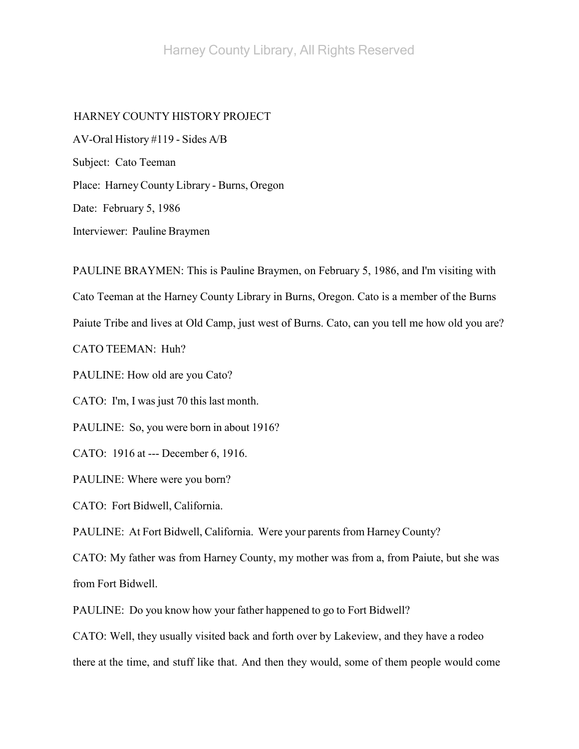# HARNEY COUNTY HISTORY PROJECT

AV-Oral History #119 - Sides A/B Subject: Cato Teeman Place: HarneyCounty Library - Burns, Oregon Date: February 5, 1986 Interviewer: Pauline Braymen

PAULINE BRAYMEN: This is Pauline Braymen, on February 5, 1986, and I'm visiting with Cato Teeman at the Harney County Library in Burns, Oregon. Cato is a member of the Burns Paiute Tribe and lives at Old Camp, just west of Burns. Cato, can you tell me how old you are? CATO TEEMAN: Huh? PAULINE: How old are you Cato? CATO: I'm, I was just 70 this last month.

PAULINE: So, you were born in about 1916?

CATO: 1916 at --- December 6, 1916.

PAULINE: Where were you born?

CATO: Fort Bidwell, California.

PAULINE: At Fort Bidwell, California. Were your parents from Harney County?

CATO: My father was from Harney County, my mother was from a, from Paiute, but she was from Fort Bidwell.

PAULINE: Do you know how your father happened to go to Fort Bidwell?

CATO: Well, they usually visited back and forth over by Lakeview, and they have a rodeo

there at the time, and stuff like that. And then they would, some of them people would come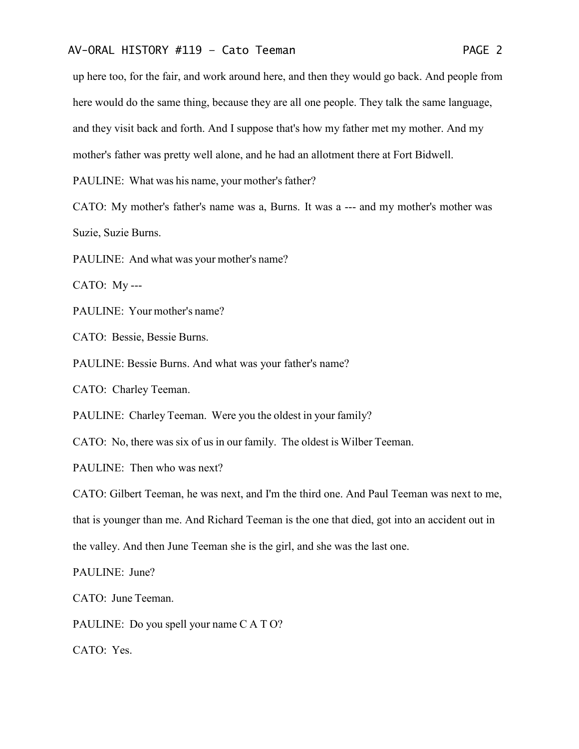up here too, for the fair, and work around here, and then they would go back. And people from here would do the same thing, because they are all one people. They talk the same language, and they visit back and forth. And I suppose that's how my father met my mother. And my mother's father was pretty well alone, and he had an allotment there at Fort Bidwell.

PAULINE: What was his name, your mother's father?

CATO: My mother's father's name was a, Burns. It was a --- and my mother's mother was Suzie, Suzie Burns.

PAULINE: And what was your mother's name?

CATO: My ---

PAULINE: Your mother's name?

CATO: Bessie, Bessie Burns.

PAULINE: Bessie Burns. And what was your father's name?

CATO: Charley Teeman.

PAULINE: Charley Teeman. Were you the oldest in your family?

CATO: No, there was six of us in our family. The oldest is Wilber Teeman.

PAULINE: Then who was next?

CATO: Gilbert Teeman, he was next, and I'm the third one. And Paul Teeman was next to me, that is younger than me. And Richard Teeman is the one that died, got into an accident out in the valley. And then June Teeman she is the girl, and she was the last one.

PAULINE: June?

CATO: June Teeman.

PAULINE: Do you spell your name C A T O?

CATO: Yes.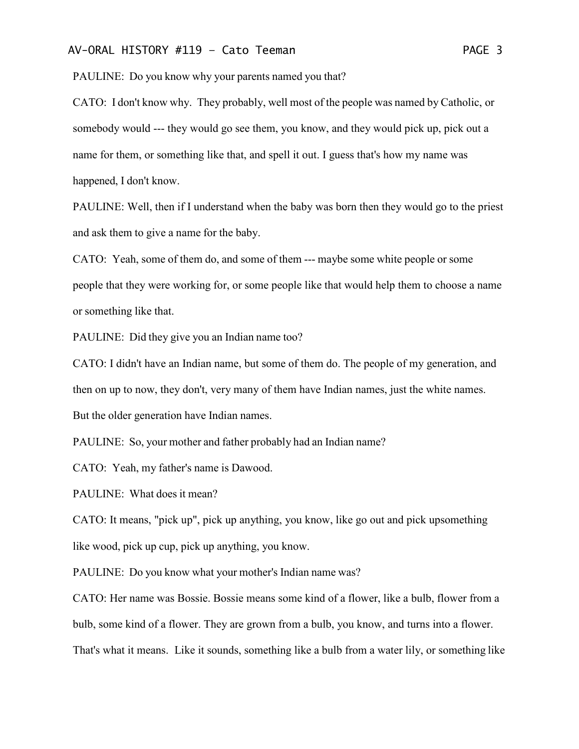PAULINE: Do you know why your parents named you that?

CATO: I don't know why. They probably, well most of the people was named by Catholic, or somebody would --- they would go see them, you know, and they would pick up, pick out a name for them, or something like that, and spell it out. I guess that's how my name was happened, I don't know.

PAULINE: Well, then if I understand when the baby was born then they would go to the priest and ask them to give a name for the baby.

CATO: Yeah, some of them do, and some of them --- maybe some white people or some people that they were working for, or some people like that would help them to choose a name or something like that.

PAULINE: Did they give you an Indian name too?

CATO: I didn't have an Indian name, but some of them do. The people of my generation, and then on up to now, they don't, very many of them have Indian names, just the white names. But the older generation have Indian names.

PAULINE: So, your mother and father probably had an Indian name?

CATO: Yeah, my father's name is Dawood.

PAULINE: What does it mean?

CATO: It means, "pick up", pick up anything, you know, like go out and pick upsomething like wood, pick up cup, pick up anything, you know.

PAULINE: Do you know what your mother's Indian name was?

CATO: Her name was Bossie. Bossie means some kind of a flower, like a bulb, flower from a bulb, some kind of a flower. They are grown from a bulb, you know, and turns into a flower. That's what it means. Like it sounds, something like a bulb from a water lily, or something like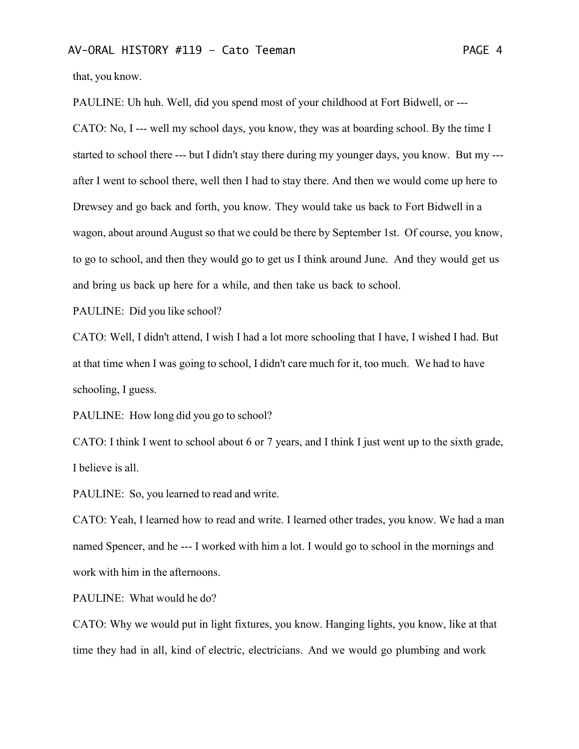that, you know.

PAULINE: Uh huh. Well, did you spend most of your childhood at Fort Bidwell, or --- CATO: No, I --- well my school days, you know, they was at boarding school. By the time I started to school there --- but I didn't stay there during my younger days, you know. But my -- after I went to school there, well then I had to stay there. And then we would come up here to Drewsey and go back and forth, you know. They would take us back to Fort Bidwell in a wagon, about around August so that we could be there by September 1st. Of course, you know, to go to school, and then they would go to get us I think around June. And they would get us and bring us back up here for a while, and then take us back to school.

PAULINE: Did you like school?

CATO: Well, I didn't attend, I wish I had a lot more schooling that I have, I wished I had. But at that time when I was going to school, I didn't care much for it, too much. We had to have schooling, I guess.

PAULINE: How long did you go to school?

CATO: I think I went to school about 6 or 7 years, and I think I just went up to the sixth grade, I believe is all.

PAULINE: So, you learned to read and write.

CATO: Yeah, I learned how to read and write. I learned other trades, you know. We had a man named Spencer, and he --- I worked with him a lot. I would go to school in the mornings and work with him in the afternoons.

PAULINE: What would he do?

CATO: Why we would put in light fixtures, you know. Hanging lights, you know, like at that time they had in all, kind of electric, electricians. And we would go plumbing and work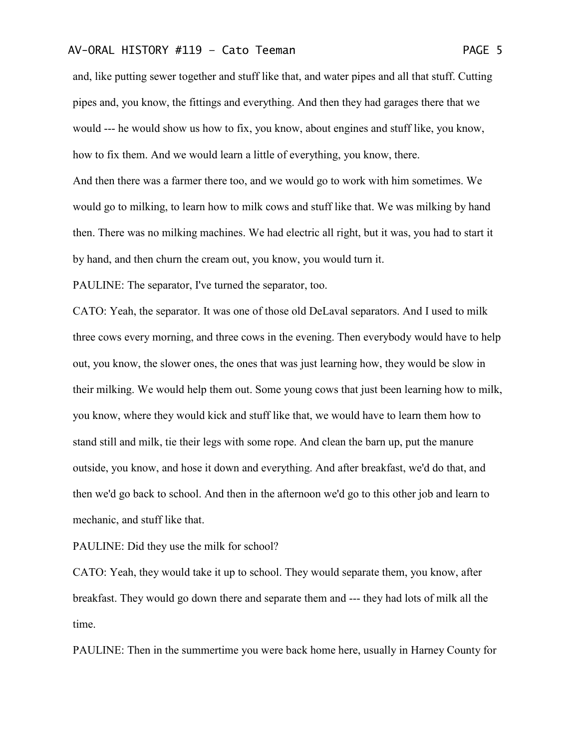and, like putting sewer together and stuff like that, and water pipes and all that stuff. Cutting pipes and, you know, the fittings and everything. And then they had garages there that we would --- he would show us how to fix, you know, about engines and stuff like, you know, how to fix them. And we would learn a little of everything, you know, there.

And then there was a farmer there too, and we would go to work with him sometimes. We would go to milking, to learn how to milk cows and stuff like that. We was milking by hand then. There was no milking machines. We had electric all right, but it was, you had to start it by hand, and then churn the cream out, you know, you would turn it.

PAULINE: The separator, I've turned the separator, too.

CATO: Yeah, the separator. It was one of those old DeLaval separators. And I used to milk three cows every morning, and three cows in the evening. Then everybody would have to help out, you know, the slower ones, the ones that was just learning how, they would be slow in their milking. We would help them out. Some young cows that just been learning how to milk, you know, where they would kick and stuff like that, we would have to learn them how to stand still and milk, tie their legs with some rope. And clean the barn up, put the manure outside, you know, and hose it down and everything. And after breakfast, we'd do that, and then we'd go back to school. And then in the afternoon we'd go to this other job and learn to mechanic, and stuff like that.

PAULINE: Did they use the milk for school?

CATO: Yeah, they would take it up to school. They would separate them, you know, after breakfast. They would go down there and separate them and --- they had lots of milk all the time.

PAULINE: Then in the summertime you were back home here, usually in Harney County for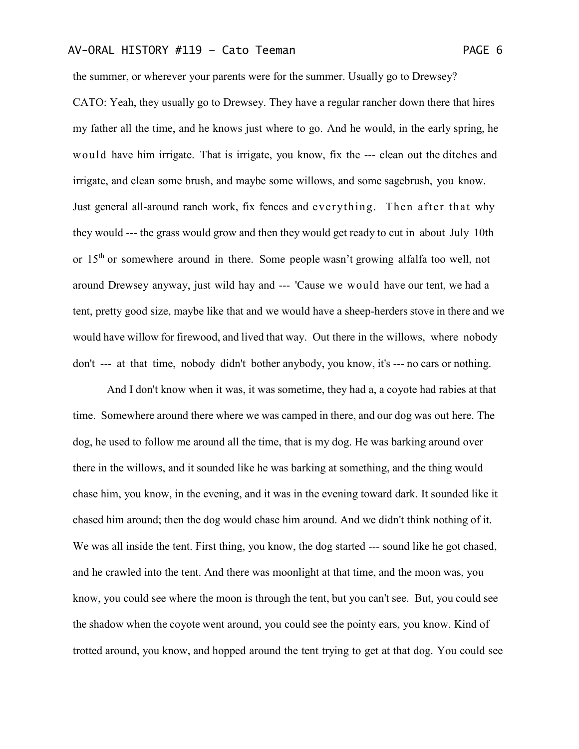the summer, or wherever your parents were for the summer. Usually go to Drewsey?

CATO: Yeah, they usually go to Drewsey. They have a regular rancher down there that hires my father all the time, and he knows just where to go. And he would, in the early spring, he would have him irrigate. That is irrigate, you know, fix the --- clean out the ditches and irrigate, and clean some brush, and maybe some willows, and some sagebrush, you know. Just general all-around ranch work, fix fences and everything. Then after that why they would --- the grass would grow and then they would get ready to cut in about July 10th or 15<sup>th</sup> or somewhere around in there. Some people wasn't growing alfalfa too well, not around Drewsey anyway, just wild hay and --- 'Cause we would have our tent, we had a tent, pretty good size, maybe like that and we would have a sheep-herders stove in there and we would have willow for firewood, and lived that way. Out there in the willows, where nobody don't --- at that time, nobody didn't bother anybody, you know, it's --- no cars or nothing.

And I don't know when it was, it was sometime, they had a, a coyote had rabies at that time. Somewhere around there where we was camped in there, and our dog was out here. The dog, he used to follow me around all the time, that is my dog. He was barking around over there in the willows, and it sounded like he was barking at something, and the thing would chase him, you know, in the evening, and it was in the evening toward dark. It sounded like it chased him around; then the dog would chase him around. And we didn't think nothing of it. We was all inside the tent. First thing, you know, the dog started --- sound like he got chased, and he crawled into the tent. And there was moonlight at that time, and the moon was, you know, you could see where the moon is through the tent, but you can't see. But, you could see the shadow when the coyote went around, you could see the pointy ears, you know. Kind of trotted around, you know, and hopped around the tent trying to get at that dog. You could see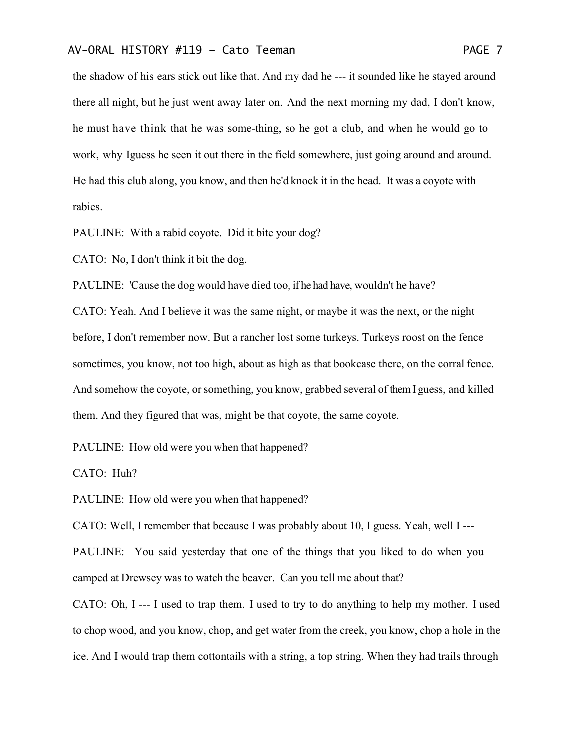the shadow of his ears stick out like that. And my dad he --- it sounded like he stayed around there all night, but he just went away later on. And the next morning my dad, I don't know, he must have think that he was some-thing, so he got a club, and when he would go to work, why Iguess he seen it out there in the field somewhere, just going around and around. He had this club along, you know, and then he'd knock it in the head. It was a coyote with rabies.

PAULINE: With a rabid coyote. Did it bite your dog?

CATO: No, I don't think it bit the dog.

PAULINE: 'Cause the dog would have died too, if he had have, wouldn't he have?

CATO: Yeah. And I believe it was the same night, or maybe it was the next, or the night before, I don't remember now. But a rancher lost some turkeys. Turkeys roost on the fence sometimes, you know, not too high, about as high as that bookcase there, on the corral fence. And somehow the coyote, or something, you know, grabbed several of them I guess, and killed them. And they figured that was, might be that coyote, the same coyote.

PAULINE: How old were you when that happened?

CATO: Huh?

PAULINE: How old were you when that happened?

CATO: Well, I remember that because I was probably about 10, I guess. Yeah, well I ---

PAULINE: You said yesterday that one of the things that you liked to do when you camped at Drewsey was to watch the beaver. Can you tell me about that?

CATO: Oh, I --- I used to trap them. I used to try to do anything to help my mother. I used to chop wood, and you know, chop, and get water from the creek, you know, chop a hole in the ice. And I would trap them cottontails with a string, a top string. When they had trails through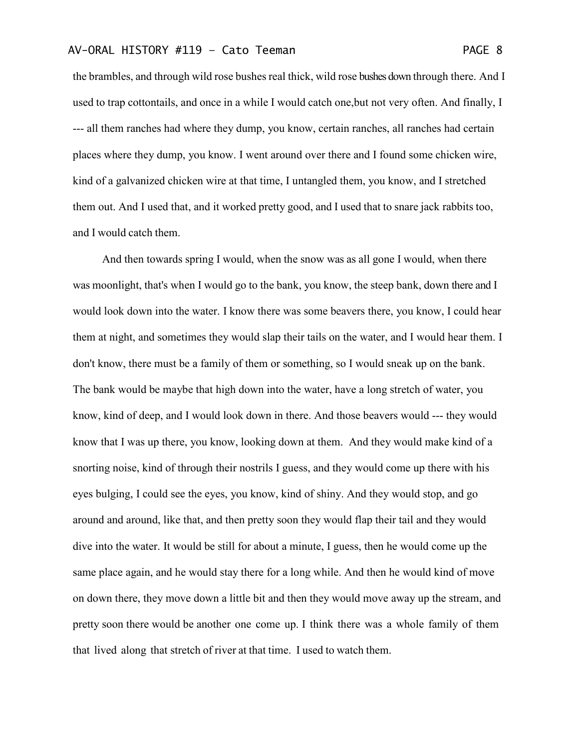the brambles, and through wild rose bushes real thick, wild rose bushes down through there. And I used to trap cottontails, and once in a while I would catch one,but not very often. And finally, I --- all them ranches had where they dump, you know, certain ranches, all ranches had certain places where they dump, you know. I went around over there and I found some chicken wire, kind of a galvanized chicken wire at that time, I untangled them, you know, and I stretched them out. And I used that, and it worked pretty good, and I used that to snare jack rabbits too, and I would catch them.

And then towards spring I would, when the snow was as all gone I would, when there was moonlight, that's when I would go to the bank, you know, the steep bank, down there and I would look down into the water. I know there was some beavers there, you know, I could hear them at night, and sometimes they would slap their tails on the water, and I would hear them. I don't know, there must be a family of them or something, so I would sneak up on the bank. The bank would be maybe that high down into the water, have a long stretch of water, you know, kind of deep, and I would look down in there. And those beavers would --- they would know that I was up there, you know, looking down at them. And they would make kind of a snorting noise, kind of through their nostrils I guess, and they would come up there with his eyes bulging, I could see the eyes, you know, kind of shiny. And they would stop, and go around and around, like that, and then pretty soon they would flap their tail and they would dive into the water. It would be still for about a minute, I guess, then he would come up the same place again, and he would stay there for a long while. And then he would kind of move on down there, they move down a little bit and then they would move away up the stream, and pretty soon there would be another one come up. I think there was a whole family of them that lived along that stretch of river at that time. I used to watch them.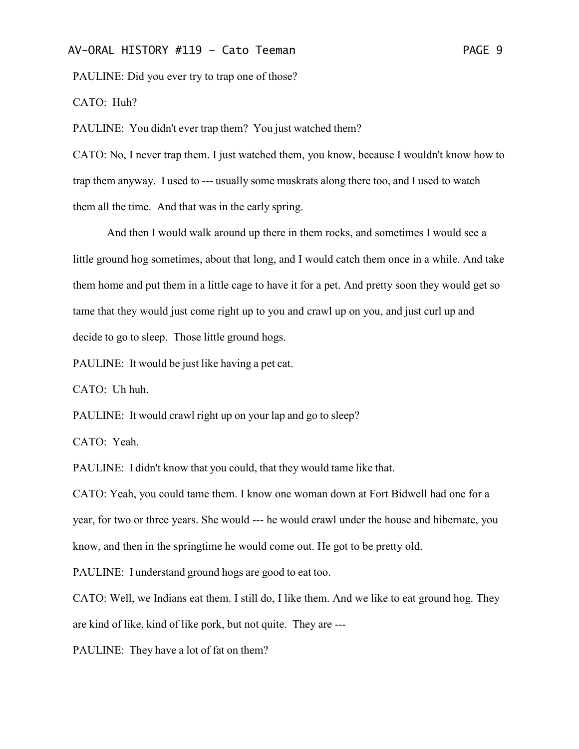PAULINE: Did you ever try to trap one of those?

CATO: Huh?

PAULINE: You didn't ever trap them? You just watched them?

CATO: No, I never trap them. I just watched them, you know, because I wouldn't know how to trap them anyway. I used to --- usually some muskrats along there too, and I used to watch them all the time. And that was in the early spring.

And then I would walk around up there in them rocks, and sometimes I would see a little ground hog sometimes, about that long, and I would catch them once in a while. And take them home and put them in a little cage to have it for a pet. And pretty soon they would get so tame that they would just come right up to you and crawl up on you, and just curl up and decide to go to sleep. Those little ground hogs.

PAULINE: It would be just like having a pet cat.

CATO: Uh huh.

PAULINE: It would crawl right up on your lap and go to sleep?

CATO: Yeah.

PAULINE: I didn't know that you could, that they would tame like that.

CATO: Yeah, you could tame them. I know one woman down at Fort Bidwell had one for a year, for two or three years. She would --- he would crawl under the house and hibernate, you know, and then in the springtime he would come out. He got to be pretty old.

PAULINE: I understand ground hogs are good to eat too.

CATO: Well, we Indians eat them. I still do, I like them. And we like to eat ground hog. They are kind of like, kind of like pork, but not quite. They are ---

PAULINE: They have a lot of fat on them?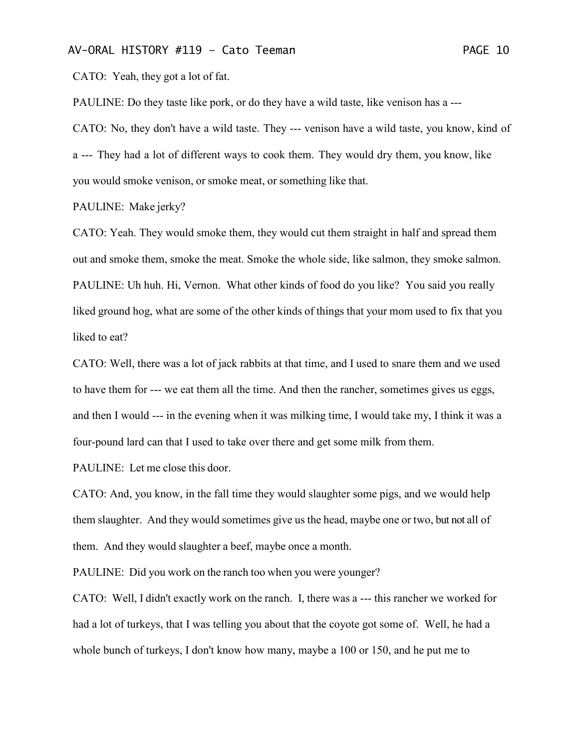CATO: Yeah, they got a lot of fat.

PAULINE: Do they taste like pork, or do they have a wild taste, like venison has a ---

CATO: No, they don't have a wild taste. They --- venison have a wild taste, you know, kind of a --- They had a lot of different ways to cook them. They would dry them, you know, like you would smoke venison, or smoke meat, or something like that.

#### PAULINE: Make jerky?

CATO: Yeah. They would smoke them, they would cut them straight in half and spread them out and smoke them, smoke the meat. Smoke the whole side, like salmon, they smoke salmon. PAULINE: Uh huh. Hi, Vernon. What other kinds of food do you like? You said you really liked ground hog, what are some of the other kinds of things that your mom used to fix that you liked to eat?

CATO: Well, there was a lot of jack rabbits at that time, and I used to snare them and we used to have them for --- we eat them all the time. And then the rancher, sometimes gives us eggs, and then I would --- in the evening when it was milking time, I would take my, I think it was a four-pound lard can that I used to take over there and get some milk from them.

PAULINE: Let me close this door.

CATO: And, you know, in the fall time they would slaughter some pigs, and we would help them slaughter. And they would sometimes give us the head, maybe one or two, but not all of them. And they would slaughter a beef, maybe once a month.

PAULINE: Did you work on the ranch too when you were younger?

CATO: Well, I didn't exactly work on the ranch. I, there was a --- this rancher we worked for had a lot of turkeys, that I was telling you about that the coyote got some of. Well, he had a whole bunch of turkeys, I don't know how many, maybe a 100 or 150, and he put me to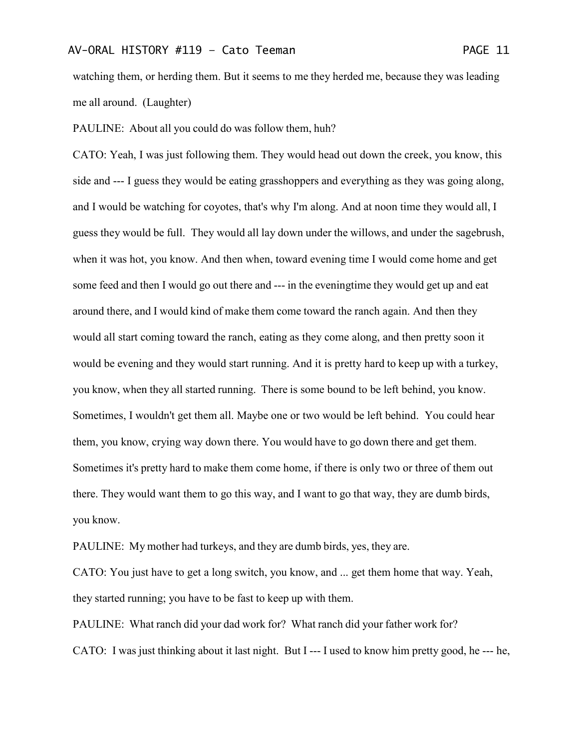watching them, or herding them. But it seems to me they herded me, because they was leading me all around. (Laughter)

PAULINE: About all you could do was follow them, huh?

CATO: Yeah, I was just following them. They would head out down the creek, you know, this side and --- I guess they would be eating grasshoppers and everything as they was going along, and I would be watching for coyotes, that's why I'm along. And at noon time they would all, I guess they would be full. They would all lay down under the willows, and under the sagebrush, when it was hot, you know. And then when, toward evening time I would come home and get some feed and then I would go out there and --- in the eveningtime they would get up and eat around there, and I would kind of make them come toward the ranch again. And then they would all start coming toward the ranch, eating as they come along, and then pretty soon it would be evening and they would start running. And it is pretty hard to keep up with a turkey, you know, when they all started running. There is some bound to be left behind, you know. Sometimes, I wouldn't get them all. Maybe one or two would be left behind. You could hear them, you know, crying way down there. You would have to go down there and get them. Sometimes it's pretty hard to make them come home, if there is only two or three of them out there. They would want them to go this way, and I want to go that way, they are dumb birds, you know.

PAULINE: My mother had turkeys, and they are dumb birds, yes, they are.

CATO: You just have to get a long switch, you know, and ... get them home that way. Yeah, they started running; you have to be fast to keep up with them.

PAULINE: What ranch did your dad work for? What ranch did your father work for? CATO: I was just thinking about it last night. But I --- I used to know him pretty good, he --- he,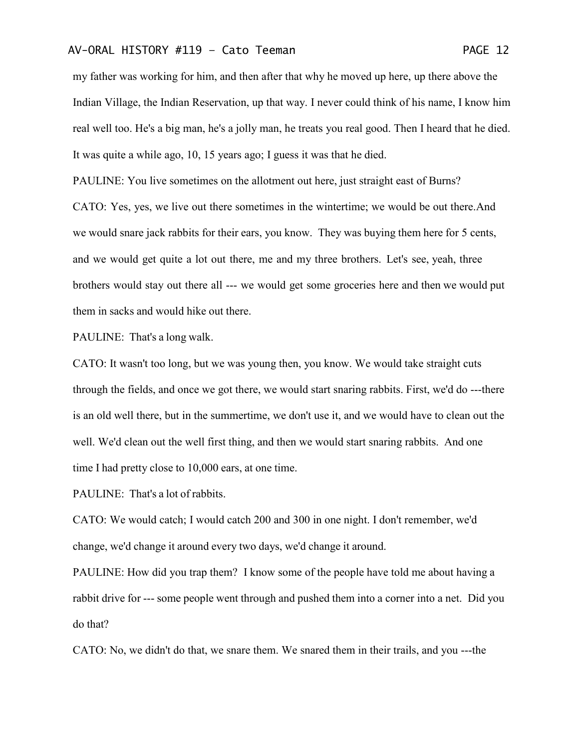my father was working for him, and then after that why he moved up here, up there above the Indian Village, the Indian Reservation, up that way. I never could think of his name, I know him real well too. He's a big man, he's a jolly man, he treats you real good. Then I heard that he died. It was quite a while ago, 10, 15 years ago; I guess it was that he died.

PAULINE: You live sometimes on the allotment out here, just straight east of Burns?

CATO: Yes, yes, we live out there sometimes in the wintertime; we would be out there.And we would snare jack rabbits for their ears, you know. They was buying them here for 5 cents, and we would get quite a lot out there, me and my three brothers. Let's see, yeah, three brothers would stay out there all --- we would get some groceries here and then we would put them in sacks and would hike out there.

PAULINE: That's a long walk.

CATO: It wasn't too long, but we was young then, you know. We would take straight cuts through the fields, and once we got there, we would start snaring rabbits. First, we'd do ---there is an old well there, but in the summertime, we don't use it, and we would have to clean out the well. We'd clean out the well first thing, and then we would start snaring rabbits. And one time I had pretty close to 10,000 ears, at one time.

PAULINE: That's a lot of rabbits.

CATO: We would catch; I would catch 200 and 300 in one night. I don't remember, we'd change, we'd change it around every two days, we'd change it around.

PAULINE: How did you trap them? I know some of the people have told me about having a rabbit drive for --- some people went through and pushed them into a corner into a net. Did you do that?

CATO: No, we didn't do that, we snare them. We snared them in their trails, and you ---the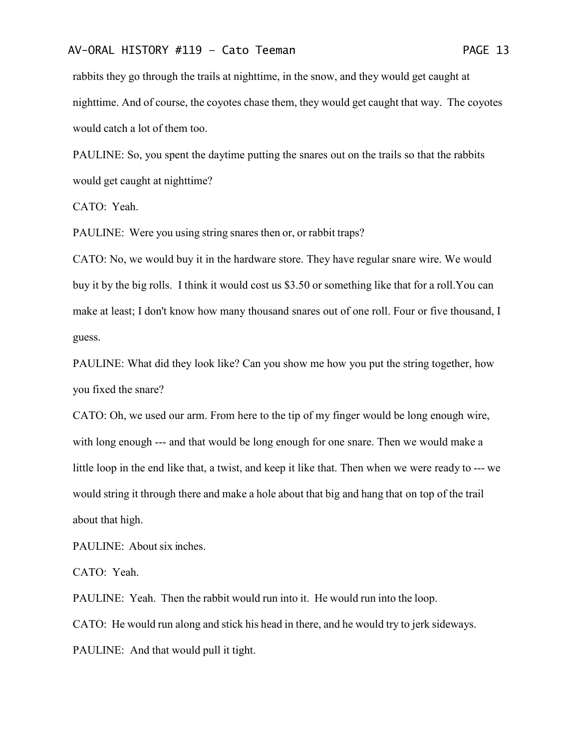rabbits they go through the trails at nighttime, in the snow, and they would get caught at nighttime. And of course, the coyotes chase them, they would get caught that way. The coyotes would catch a lot of them too.

PAULINE: So, you spent the daytime putting the snares out on the trails so that the rabbits would get caught at nighttime?

CATO: Yeah.

PAULINE: Were you using string snares then or, or rabbit traps?

CATO: No, we would buy it in the hardware store. They have regular snare wire. We would buy it by the big rolls. I think it would cost us \$3.50 or something like that for a roll.You can make at least; I don't know how many thousand snares out of one roll. Four or five thousand, I guess.

PAULINE: What did they look like? Can you show me how you put the string together, how you fixed the snare?

CATO: Oh, we used our arm. From here to the tip of my finger would be long enough wire, with long enough --- and that would be long enough for one snare. Then we would make a little loop in the end like that, a twist, and keep it like that. Then when we were ready to --- we would string it through there and make a hole about that big and hang that on top of the trail about that high.

PAULINE: About six inches.

CATO: Yeah.

PAULINE: Yeah. Then the rabbit would run into it. He would run into the loop. CATO: He would run along and stick his head in there, and he would try to jerk sideways. PAULINE: And that would pull it tight.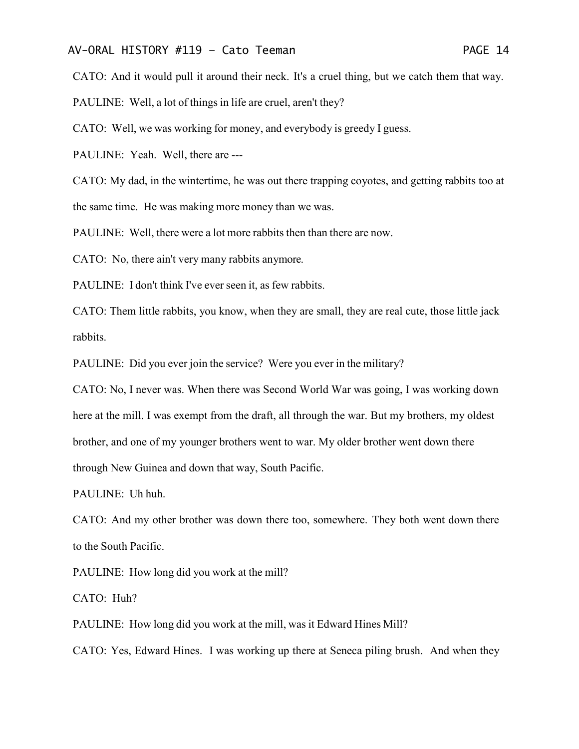CATO: And it would pull it around their neck. It's a cruel thing, but we catch them that way.

PAULINE: Well, a lot of things in life are cruel, aren't they?

CATO: Well, we was working for money, and everybody is greedy I guess.

PAULINE: Yeah. Well, there are ---

CATO: My dad, in the wintertime, he was out there trapping coyotes, and getting rabbits too at

the same time. He was making more money than we was.

PAULINE: Well, there were a lot more rabbits then than there are now.

CATO: No, there ain't very many rabbits anymore.

PAULINE: I don't think I've ever seen it, as few rabbits.

CATO: Them little rabbits, you know, when they are small, they are real cute, those little jack rabbits.

PAULINE: Did you ever join the service? Were you ever in the military?

CATO: No, I never was. When there was Second World War was going, I was working down here at the mill. I was exempt from the draft, all through the war. But my brothers, my oldest brother, and one of my younger brothers went to war. My older brother went down there through New Guinea and down that way, South Pacific.

PAULINE: Uh huh.

CATO: And my other brother was down there too, somewhere. They both went down there to the South Pacific.

PAULINE: How long did you work at the mill?

CATO: Huh?

PAULINE: How long did you work at the mill, was it Edward Hines Mill?

CATO: Yes, Edward Hines. I was working up there at Seneca piling brush. And when they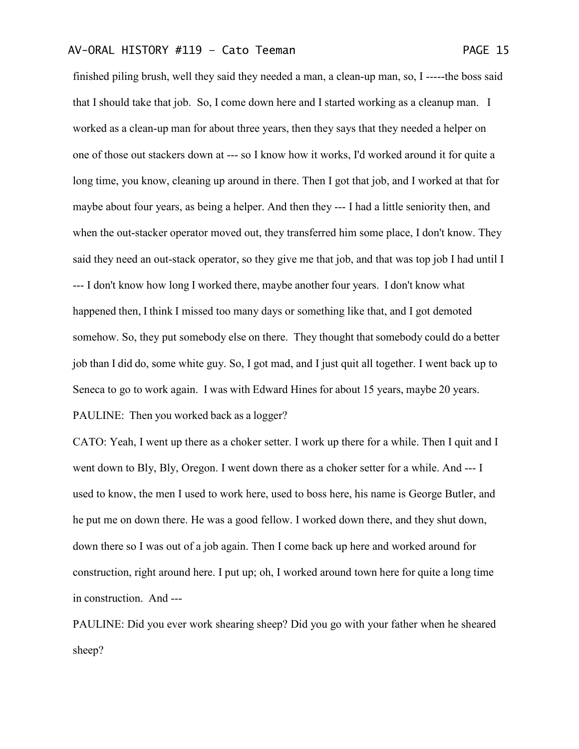finished piling brush, well they said they needed a man, a clean-up man, so, I -----the boss said that I should take that job. So, I come down here and I started working as a cleanup man. I worked as a clean-up man for about three years, then they says that they needed a helper on one of those out stackers down at --- so I know how it works, I'd worked around it for quite a long time, you know, cleaning up around in there. Then I got that job, and I worked at that for maybe about four years, as being a helper. And then they --- I had a little seniority then, and when the out-stacker operator moved out, they transferred him some place, I don't know. They said they need an out-stack operator, so they give me that job, and that was top job I had until I --- I don't know how long I worked there, maybe another four years. I don't know what happened then, I think I missed too many days or something like that, and I got demoted somehow. So, they put somebody else on there. They thought that somebody could do a better job than I did do, some white guy. So, I got mad, and I just quit all together. I went back up to Seneca to go to work again. I was with Edward Hines for about 15 years, maybe 20 years. PAULINE: Then you worked back as a logger?

CATO: Yeah, I went up there as a choker setter. I work up there for a while. Then I quit and I went down to Bly, Bly, Oregon. I went down there as a choker setter for a while. And --- I used to know, the men I used to work here, used to boss here, his name is George Butler, and he put me on down there. He was a good fellow. I worked down there, and they shut down, down there so I was out of a job again. Then I come back up here and worked around for construction, right around here. I put up; oh, I worked around town here for quite a long time in construction. And ---

PAULINE: Did you ever work shearing sheep? Did you go with your father when he sheared sheep?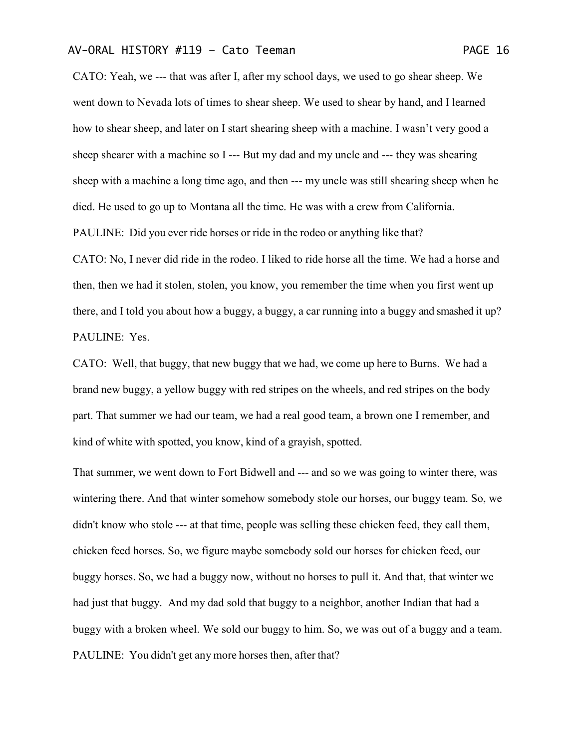CATO: Yeah, we --- that was after I, after my school days, we used to go shear sheep. We went down to Nevada lots of times to shear sheep. We used to shear by hand, and I learned how to shear sheep, and later on I start shearing sheep with a machine. I wasn't very good a sheep shearer with a machine so I --- But my dad and my uncle and --- they was shearing sheep with a machine a long time ago, and then --- my uncle was still shearing sheep when he died. He used to go up to Montana all the time. He was with a crew from California. PAULINE: Did you ever ride horses or ride in the rodeo or anything like that?

CATO: No, I never did ride in the rodeo. I liked to ride horse all the time. We had a horse and then, then we had it stolen, stolen, you know, you remember the time when you first went up there, and I told you about how a buggy, a buggy, a car running into a buggy and smashed it up? PAULINE: Yes.

CATO: Well, that buggy, that new buggy that we had, we come up here to Burns. We had a brand new buggy, a yellow buggy with red stripes on the wheels, and red stripes on the body part. That summer we had our team, we had a real good team, a brown one I remember, and kind of white with spotted, you know, kind of a grayish, spotted.

That summer, we went down to Fort Bidwell and --- and so we was going to winter there, was wintering there. And that winter somehow somebody stole our horses, our buggy team. So, we didn't know who stole --- at that time, people was selling these chicken feed, they call them, chicken feed horses. So, we figure maybe somebody sold our horses for chicken feed, our buggy horses. So, we had a buggy now, without no horses to pull it. And that, that winter we had just that buggy. And my dad sold that buggy to a neighbor, another Indian that had a buggy with a broken wheel. We sold our buggy to him. So, we was out of a buggy and a team. PAULINE: You didn't get any more horses then, after that?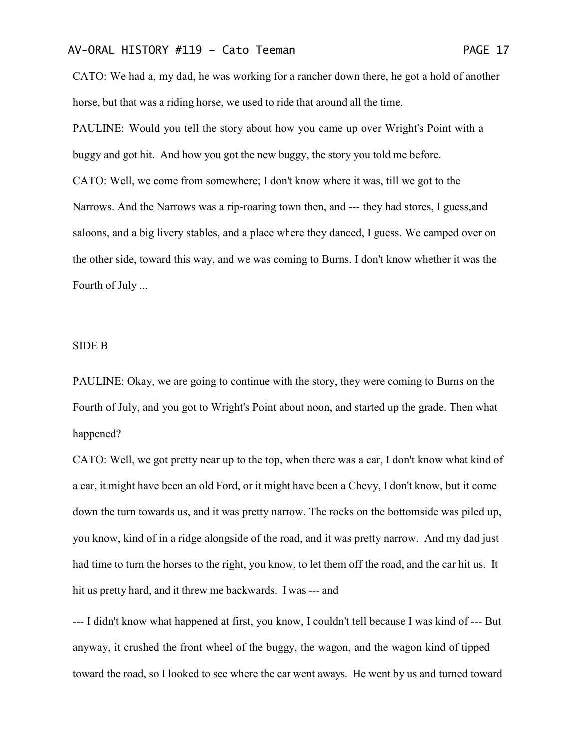CATO: We had a, my dad, he was working for a rancher down there, he got a hold of another horse, but that was a riding horse, we used to ride that around all the time.

PAULINE: Would you tell the story about how you came up over Wright's Point with a buggy and got hit. And how you got the new buggy, the story you told me before. CATO: Well, we come from somewhere; I don't know where it was, till we got to the Narrows. And the Narrows was a rip-roaring town then, and --- they had stores, I guess,and saloons, and a big livery stables, and a place where they danced, I guess. We camped over on the other side, toward this way, and we was coming to Burns. I don't know whether it was the Fourth of July ...

#### SIDE B

PAULINE: Okay, we are going to continue with the story, they were coming to Burns on the Fourth of July, and you got to Wright's Point about noon, and started up the grade. Then what happened?

CATO: Well, we got pretty near up to the top, when there was a car, I don't know what kind of a car, it might have been an old Ford, or it might have been a Chevy, I don't know, but it come down the turn towards us, and it was pretty narrow. The rocks on the bottomside was piled up, you know, kind of in a ridge alongside of the road, and it was pretty narrow. And my dad just had time to turn the horses to the right, you know, to let them off the road, and the car hit us. It hit us pretty hard, and it threw me backwards. I was --- and

--- I didn't know what happened at first, you know, I couldn't tell because I was kind of --- But anyway, it crushed the front wheel of the buggy, the wagon, and the wagon kind of tipped toward the road, so I looked to see where the car went aways. He went by us and turned toward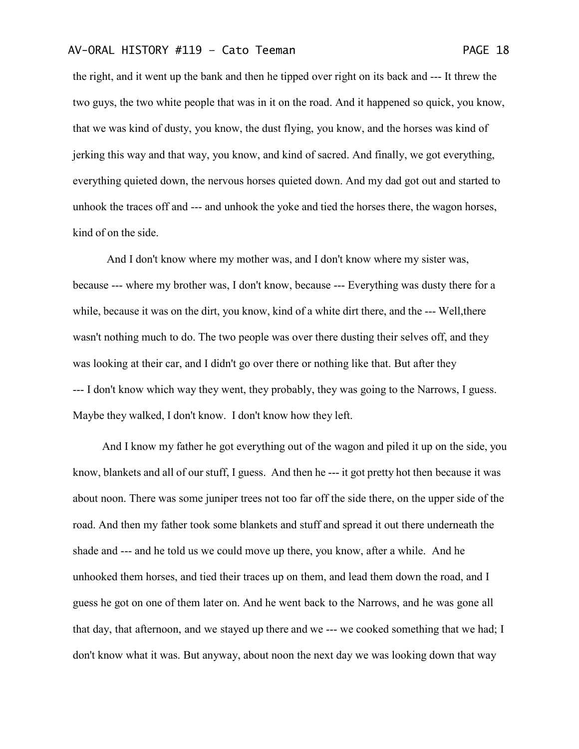the right, and it went up the bank and then he tipped over right on its back and --- It threw the two guys, the two white people that was in it on the road. And it happened so quick, you know, that we was kind of dusty, you know, the dust flying, you know, and the horses was kind of

jerking this way and that way, you know, and kind of sacred. And finally, we got everything, everything quieted down, the nervous horses quieted down. And my dad got out and started to unhook the traces off and --- and unhook the yoke and tied the horses there, the wagon horses, kind of on the side.

And I don't know where my mother was, and I don't know where my sister was, because --- where my brother was, I don't know, because --- Everything was dusty there for a while, because it was on the dirt, you know, kind of a white dirt there, and the --- Well,there wasn't nothing much to do. The two people was over there dusting their selves off, and they was looking at their car, and I didn't go over there or nothing like that. But after they --- I don't know which way they went, they probably, they was going to the Narrows, I guess. Maybe they walked, I don't know. I don't know how they left.

And I know my father he got everything out of the wagon and piled it up on the side, you know, blankets and all of our stuff, I guess. And then he --- it got pretty hot then because it was about noon. There was some juniper trees not too far off the side there, on the upper side of the road. And then my father took some blankets and stuff and spread it out there underneath the shade and --- and he told us we could move up there, you know, after a while. And he unhooked them horses, and tied their traces up on them, and lead them down the road, and I guess he got on one of them later on. And he went back to the Narrows, and he was gone all that day, that afternoon, and we stayed up there and we --- we cooked something that we had; I don't know what it was. But anyway, about noon the next day we was looking down that way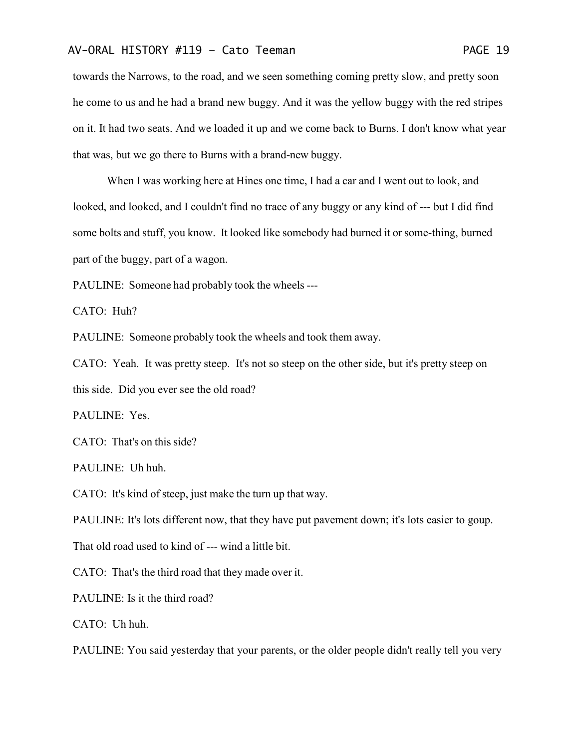towards the Narrows, to the road, and we seen something coming pretty slow, and pretty soon he come to us and he had a brand new buggy. And it was the yellow buggy with the red stripes on it. It had two seats. And we loaded it up and we come back to Burns. I don't know what year that was, but we go there to Burns with a brand-new buggy.

When I was working here at Hines one time, I had a car and I went out to look, and looked, and looked, and I couldn't find no trace of any buggy or any kind of --- but I did find some bolts and stuff, you know. It looked like somebody had burned it or some-thing, burned part of the buggy, part of a wagon.

PAULINE: Someone had probably took the wheels---

CATO: Huh?

PAULINE: Someone probably took the wheels and took them away.

CATO: Yeah. It was pretty steep. It's not so steep on the other side, but it's pretty steep on this side. Did you ever see the old road?

PAULINE: Yes.

CATO: That's on this side?

PAULINE: Uh huh.

CATO: It's kind of steep, just make the turn up that way.

PAULINE: It's lots different now, that they have put pavement down; it's lots easier to goup.

That old road used to kind of --- wind a little bit.

CATO: That's the third road that they made over it.

PAULINE: Is it the third road?

CATO: Uh huh.

PAULINE: You said yesterday that your parents, or the older people didn't really tell you very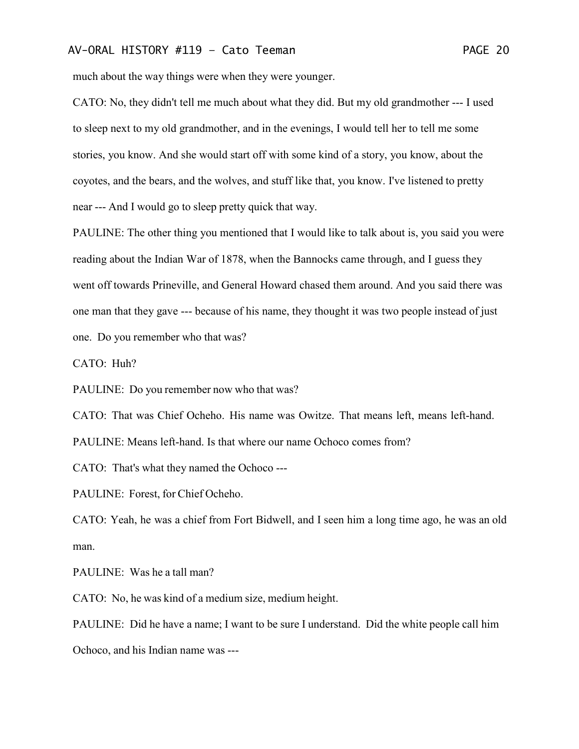much about the way things were when they were younger.

CATO: No, they didn't tell me much about what they did. But my old grandmother --- I used to sleep next to my old grandmother, and in the evenings, I would tell her to tell me some stories, you know. And she would start off with some kind of a story, you know, about the coyotes, and the bears, and the wolves, and stuff like that, you know. I've listened to pretty near --- And I would go to sleep pretty quick that way.

PAULINE: The other thing you mentioned that I would like to talk about is, you said you were reading about the Indian War of 1878, when the Bannocks came through, and I guess they went off towards Prineville, and General Howard chased them around. And you said there was one man that they gave --- because of his name, they thought it was two people instead of just one. Do you remember who that was?

CATO: Huh?

PAULINE: Do you remember now who that was?

CATO: That was Chief Ocheho. His name was Owitze. That means left, means left-hand. PAULINE: Means left-hand. Is that where our name Ochoco comes from?

CATO: That's what they named the Ochoco ---

PAULINE: Forest, for Chief Ocheho.

CATO: Yeah, he was a chief from Fort Bidwell, and I seen him a long time ago, he was an old man.

PAULINE: Was he a tall man?

CATO: No, he was kind of a medium size, medium height.

PAULINE: Did he have a name; I want to be sure I understand. Did the white people call him Ochoco, and his Indian name was ---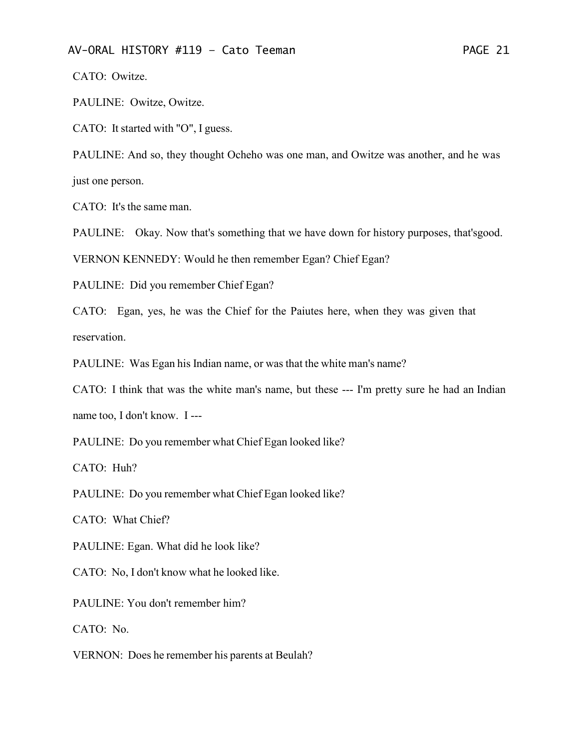CATO: Owitze.

PAULINE: Owitze, Owitze.

CATO: It started with "O", I guess.

PAULINE: And so, they thought Ocheho was one man, and Owitze was another, and he was just one person.

CATO: It's the same man.

PAULINE: Okay. Now that's something that we have down for history purposes, that'sgood.

VERNON KENNEDY: Would he then remember Egan? Chief Egan?

PAULINE: Did you remember Chief Egan?

CATO: Egan, yes, he was the Chief for the Paiutes here, when they was given that reservation.

PAULINE: Was Egan his Indian name, or was that the white man's name?

CATO: I think that was the white man's name, but these --- I'm pretty sure he had an Indian

name too, I don't know. I ---

PAULINE: Do you remember what Chief Egan looked like?

CATO: Huh?

PAULINE: Do you remember what Chief Egan looked like?

CATO: What Chief?

PAULINE: Egan. What did he look like?

CATO: No, I don't know what he looked like.

PAULINE: You don't remember him?

CATO: No.

VERNON: Does he remember his parents at Beulah?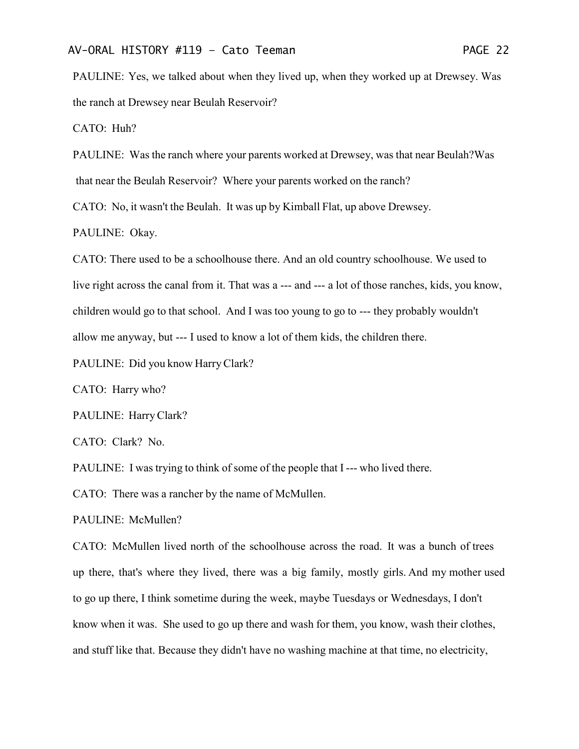PAULINE: Yes, we talked about when they lived up, when they worked up at Drewsey. Was the ranch at Drewsey near Beulah Reservoir?

CATO: Huh?

PAULINE: Was the ranch where your parents worked at Drewsey, was that near Beulah?Was that near the Beulah Reservoir? Where your parents worked on the ranch?

CATO: No, it wasn't the Beulah. It was up by Kimball Flat, up above Drewsey.

PAULINE: Okay.

CATO: There used to be a schoolhouse there. And an old country schoolhouse. We used to live right across the canal from it. That was a --- and --- a lot of those ranches, kids, you know, children would go to that school. And I was too young to go to --- they probably wouldn't allow me anyway, but --- I used to know a lot of them kids, the children there.

PAULINE: Did you know Harry Clark?

CATO: Harry who?

PAULINE: HarryClark?

CATO: Clark? No.

PAULINE: I was trying to think of some of the people that I --- who lived there.

CATO: There was a rancher by the name of McMullen.

PAULINE: McMullen?

CATO: McMullen lived north of the schoolhouse across the road. It was a bunch of trees up there, that's where they lived, there was a big family, mostly girls. And my mother used to go up there, I think sometime during the week, maybe Tuesdays or Wednesdays, I don't know when it was. She used to go up there and wash for them, you know, wash their clothes, and stuff like that. Because they didn't have no washing machine at that time, no electricity,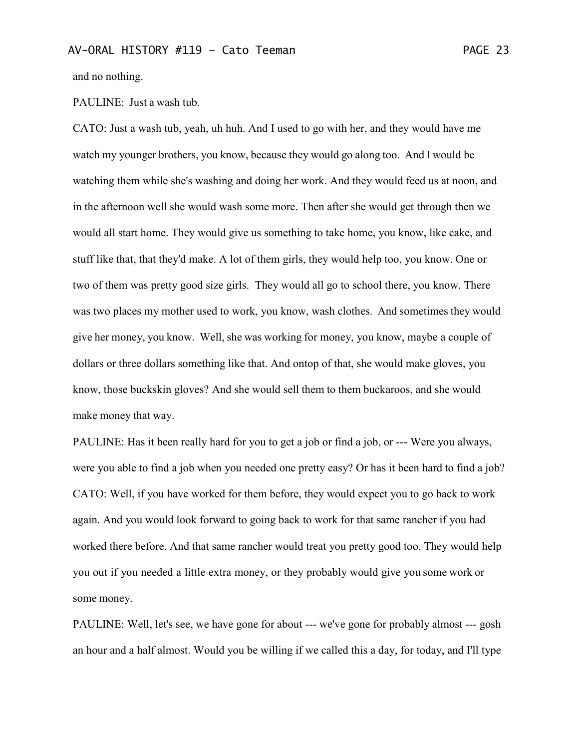and no nothing.

#### PAULINE: Just a wash tub.

CATO: Just a wash tub, yeah, uh huh. And I used to go with her, and they would have me watch my younger brothers, you know, because they would go along too. And I would be watching them while she's washing and doing her work. And they would feed us at noon, and in the afternoon well she would wash some more. Then after she would get through then we would all start home. They would give us something to take home, you know, like cake, and stuff like that, that they'd make. A lot of them girls, they would help too, you know. One or two of them was pretty good size girls. They would all go to school there, you know. There was two places my mother used to work, you know, wash clothes. And sometimes they would give her money, you know. Well, she was working for money, you know, maybe a couple of dollars or three dollars something like that. And ontop of that, she would make gloves, you know, those buckskin gloves? And she would sell them to them buckaroos, and she would make money that way.

PAULINE: Has it been really hard for you to get a job or find a job, or --- Were you always, were you able to find a job when you needed one pretty easy? Or has it been hard to find a job? CATO: Well, if you have worked for them before, they would expect you to go back to work again. And you would look forward to going back to work for that same rancher if you had worked there before. And that same rancher would treat you pretty good too. They would help you out if you needed a little extra money, or they probably would give you some work or some money.

PAULINE: Well, let's see, we have gone for about --- we've gone for probably almost --- gosh an hour and a half almost. Would you be willing if we called this a day, for today, and I'll type